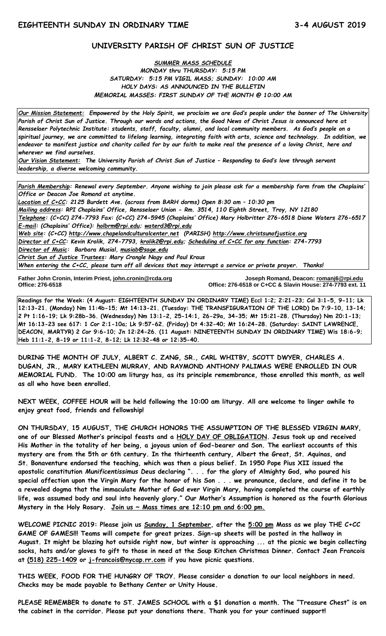# **UNIVERSITY PARISH OF CHRIST SUN OF JUSTICE**

#### *SUMMER MASS SCHEDULE MONDAY thru THURSDAY: 5:15 PM SATURDAY: 5:15 PM VIGIL MASS; SUNDAY: 10:00 AM HOLY DAYS: AS ANNOUNCED IN THE BULLETIN MEMORIAL MASSES: FIRST SUNDAY OF THE MONTH @ 10:00 AM*

*Our Mission Statement:**Empowered by the Holy Spirit, we proclaim we are God's people under the banner of The University Parish of Christ Sun of Justice. Through our words and actions, the Good News of Christ Jesus is announced here at Rensselaer Polytechnic Institute: students, staff, faculty, alumni, and local community members. As God's people on a spiritual journey, we are committed to lifelong learning, integrating faith with arts, science and technology. In addition, we endeavor to manifest justice and charity called for by our faith to make real the presence of a loving Christ, here and wherever we find ourselves.*

*Our Vision Statement: The University Parish of Christ Sun of Justice – Responding to God's love through servant leadership, a diverse welcoming community.*

*Parish Membership: Renewal every September. Anyone wishing to join please ask for a membership form from the Chaplains' Office or Deacon Joe Romand at anytime.*

*Location of C+CC: 2125 Burdett Ave. (across from BARH dorms) Open 8:30 am – 10:30 pm Mailing address: RPI Chaplains' Office, Rensselaer Union - Rm. 3514, 110 Eighth Street, Troy, NY 12180 Telephone: (C+CC) 274-7793 Fax: (C+CC) 274-5945 (Chaplains' Office) Mary Holbritter 276-6518 Diane Waters 276-6517 E-mail: (Chaplains' Office): [holbrm@rpi.edu;](mailto:holbrm@rpi.edu) waterd3@rpi.edu Web site: (C+CC) [http://www.chapelandculturalcenter.net](http://www.chapelandculturalcenter.net/) (PARISH) http://www.christsunofjustice.org Director of C+CC: Kevin Krolik, 274-7793, krolik2@rpi.edu; Scheduling of C+CC for any function: 274-7793 Director of Music: Barbara Musial, [musiab@sage.edu](mailto:musiab@sage.edu) Christ Sun of Justice Trustees: Mary Crangle Nagy and Paul Kraus When entering the C+CC, please turn off all devices that may interrupt a service or private prayer. Thanks!* 

İ **Father John Cronin, Interim Priest, [john.cronin@rcda.org](mailto:john.cronin@rcda.org) Joseph Romand, Deacon: [romanj6@rpi.edu](mailto:romanj6@rpi.edu) Office: 276-6518 Office: 276-6518 or C+CC & Slavin House: 274-7793 ext. 11** 

**Readings for the Week: (4 August: EIGHTEENTH SUNDAY IN ORDINARY TIME) Eccl 1:2; 2:21-23; Col 3:1-5, 9-11; Lk 12:13-21. (Monday) Nm 11:4b-15; Mt 14:13-21. (Tuesday: THE TRANSFIGURATION OF THE LORD) Dn 7:9-10, 13-14; 2 Pt 1:16-19; Lk 9:28b-36. (Wednesday) Nm 13:1-2, 25-14:1, 26-29a, 34-35; Mt 15:21-28. (Thursday) Nm 20:1-13; Mt 16:13-23 see 617: 1 Cor 2:1-10a; Lk 9:57-62. (Friday) Dt 4:32-40; Mt 16:24-28. (Saturday: SAINT LAWRENCE, DEACON, MARTYR) 2 Cor 9:6-10; Jn 12:24-26. (11 August: NINETEENTH SUNDAY IN ORDINARY TIME) Wis 18:6-9; Heb 11:1-2, 8-19 or 11:1-2, 8-12; Lk 12:32-48 or 12:35-40.** 

**DURING THE MONTH OF JULY, ALBERT C. ZANG, SR., CARL WHITBY, SCOTT DWYER, CHARLES A. DUGAN, JR., MARY KATHLEEN MURRAY, AND RAYMOND ANTHONY PALIMAS WERE ENROLLED IN OUR MEMORIAL FUND. The 10:00 am liturgy has, as its principle remembrance, those enrolled this month, as well as all who have been enrolled.**

**NEXT WEEK, COFFEE HOUR will be held following the 10:00 am liturgy. All are welcome to linger awhile to enjoy great food, friends and fellowship!**

**ON THURSDAY, 15 AUGUST, THE CHURCH HONORS THE ASSUMPTION OF THE BLESSED VIRGIN MARY, one of our Blessed Mother's principal feasts and a HOLY DAY OF OBLIGATION. Jesus took up and received His Mother in the totality of her being, a joyous union of God-bearer and Son. The earliest accounts of this mystery are from the 5th or 6th century. In the thirteenth century, Albert the Great, St. Aquinas, and St. Bonaventure endorsed the teaching, which was then a pious belief. In 1950 Pope Pius XII issued the apostolic constitution** *Munificentissimus Deus* **declaring ". . . for the glory of Almighty God, who poured his special affection upon the Virgin Mary for the honor of his Son . . . we pronounce, declare, and define it to be a revealed dogma that the immaculate Mother of God ever Virgin Mary, having completed the course of earthly life, was assumed body and soul into heavenly glory." Our Mother's Assumption is honored as the fourth Glorious Mystery in the Holy Rosary. Join us ~ Mass times are 12:10 pm and 6:00 pm.**

**WELCOME PICNIC 2019: Please join us [Sunday, 1 September,](x-apple-data-detectors://0/) after the [5:00 pm](x-apple-data-detectors://1/) Mass as we play THE C+CC GAME OF GAMES!!! Teams will compete for great prizes. Sign-up sheets will be posted in the hallway in August. It might be blazing hot outside right now, but winter is approaching ... at the picnic we begin collecting socks, hats and/or gloves to gift to those in need at the Soup Kitchen Christmas Dinner. Contact Jean Francois at [\(518\) 225-1409](tel:(518)%20225-1409) or [j-francois@nycap.rr.com](mailto:j-francois@nycap.rr.com) if you have picnic questions.** 

**THIS WEEK, FOOD FOR THE HUNGRY OF TROY. Please consider a donation to our local neighbors in need. Checks may be made payable to Bethany Center or Unity House.**

**PLEASE REMEMBER to donate to ST. JAMES SCHOOL with a \$1 donation a month. The "Treasure Chest" is on the cabinet in the corridor. Please put your donations there. Thank you for your continued support!**